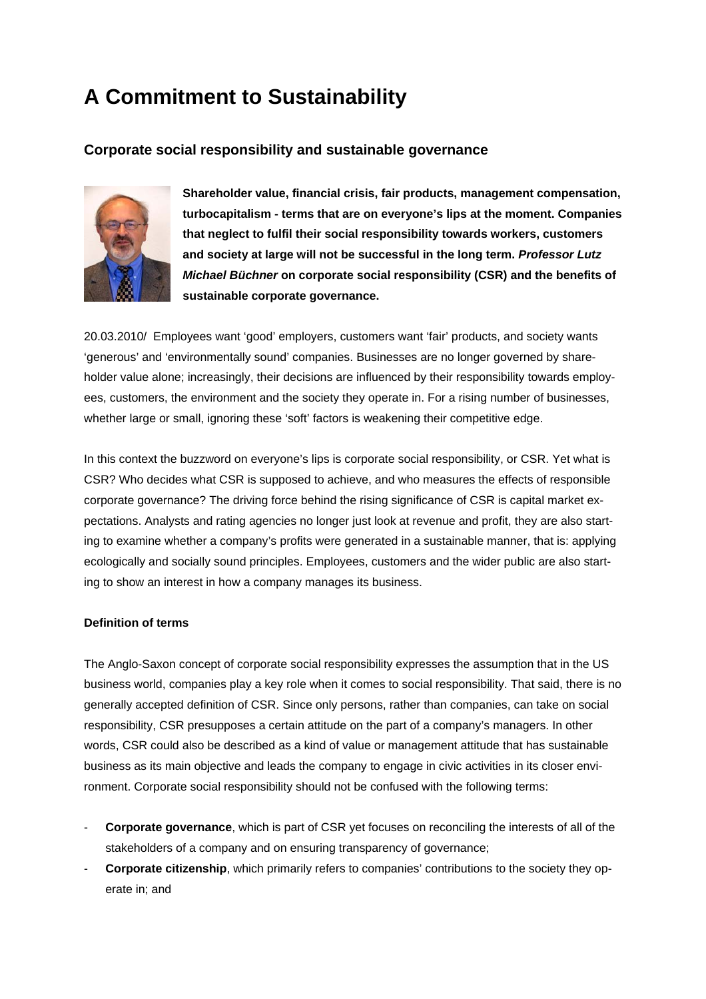# **A Commitment to Sustainability**

# **Corporate social responsibility and sustainable governance**



**Shareholder value, financial crisis, fair products, management compensation, turbocapitalism - terms that are on everyone's lips at the moment. Compan ies that neglect to fulfil their social responsibility towards workers, customers and society at large will not be successful in the long term.** *Professor Lutz Michael Büchner* **on corporate social responsibility (CSR) and the benefits of sustainable corporate governance.**

20.03.2010/ Employees want 'good' employers, customers want 'fair' products, and society wants 'generous' and 'environmentally sound' companies. Businesses are no longer governed by shareholder value alone; increasingly, their decisions are influenced by their responsibility towards employees, customers, the environment and the society they operate in. For a rising number of businesses, whether large or small, ignoring these 'soft' factors is weakening their competitive edge.

In this context the buzzword on everyone's lips is corporate social responsibility, or CSR. Yet what is CSR? Who decides what CSR is supposed to achieve, and who measures the effects of responsible corporate governance? The driving force behind the rising significance of CSR is capital market expectations. Analysts and rating agencies no longer just look at revenue and profit, they are also starting to examine whether a company's profits were generated in a sustainable manner, that is: applying ecologically and socially sound principles. Employees, customers and the wider public are also starting to show an interest in how a company manages its business.

# **Definition of terms**

The Anglo-Saxon concept of corporate social responsibility expresses the assumption that in the US business world, companies play a key role when it comes to social responsibility. That said, there is no generally accepted definition of CSR. Since only persons, rather than companies, can take on social responsibility, CSR presupposes a certain attitude on the part of a company's managers. In other words, CSR could also be described as a kind of value or management attitude that has sustainable business as its main objective and leads the company to engage in civic activities in its closer environment. Corporate social responsibility should not be confused with the following terms:

- **Corporate governance**, which is part of CSR yet focuses on reconciling the interests of all of the stakeholders of a company and on ensuring transparency of governance;
- **Corporate citizenship**, which primarily refers to companies' contributions to the society they operate in; and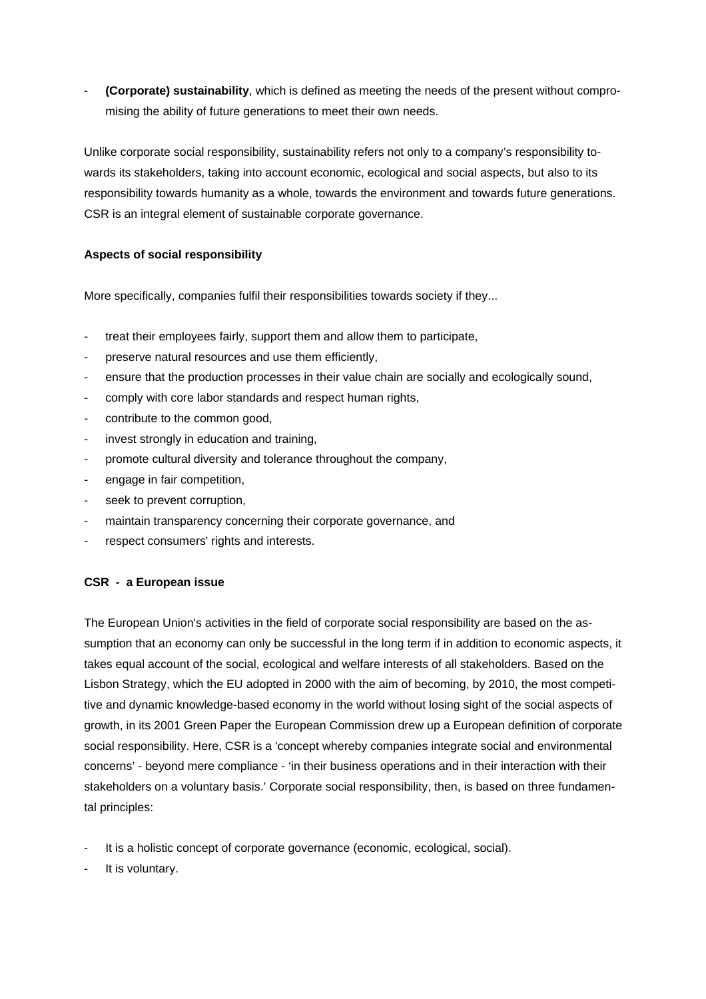- **(Corporate) sustainability**, which is defined as meeting the needs of the present without compromising the ability of future generations to meet their own needs.

Unlike corporate social responsibility, sustainability refers not only to a company's responsibility towards its stakeholders, taking into account economic, ecological and social aspects, but also to its responsibility towards humanity as a whole, towards the environment and towards future generations. CSR is an integral element of sustainable corporate governance.

# **Aspects of social responsibility**

More specifically, companies fulfil their responsibilities towards society if they...

- treat their employees fairly, support them and allow them to participate,
- preserve natural resources and use them efficiently,
- ensure that the production processes in their value chain are socially and ecologically sound,
- comply with core labor standards and respect human rights,
- contribute to the common good,
- invest strongly in education and training,
- promote cultural diversity and tolerance throughout the company,
- engage in fair competition,
- seek to prevent corruption,
- maintain transparency concerning their corporate governance, and
- respect consumers' rights and interests.

# **CSR - a European issue**

The European Union's activities in the field of corporate social responsibility are based on the assumption that an economy can only be successful in the long term if in addition to economic aspects, it takes equal account of the social, ecological and welfare interests of all stakeholders. Based on the Lisbon Strategy, which the EU adopted in 2000 with the aim of becoming, by 2010, the most competitive and dynamic knowledge-based economy in the world without losing sight of the social aspects of growth, in its 2001 Green Paper the European Commission drew up a European definition of corporate social responsibility. Here, CSR is a 'concept whereby companies integrate social and environmental concerns' - beyond mere compliance - 'in their business operations and in their interaction with their stakeholders on a voluntary basis.' Corporate social responsibility, then, is based on three fundamental principles:

- It is a holistic concept of corporate governance (economic, ecological, social).
- It is voluntary.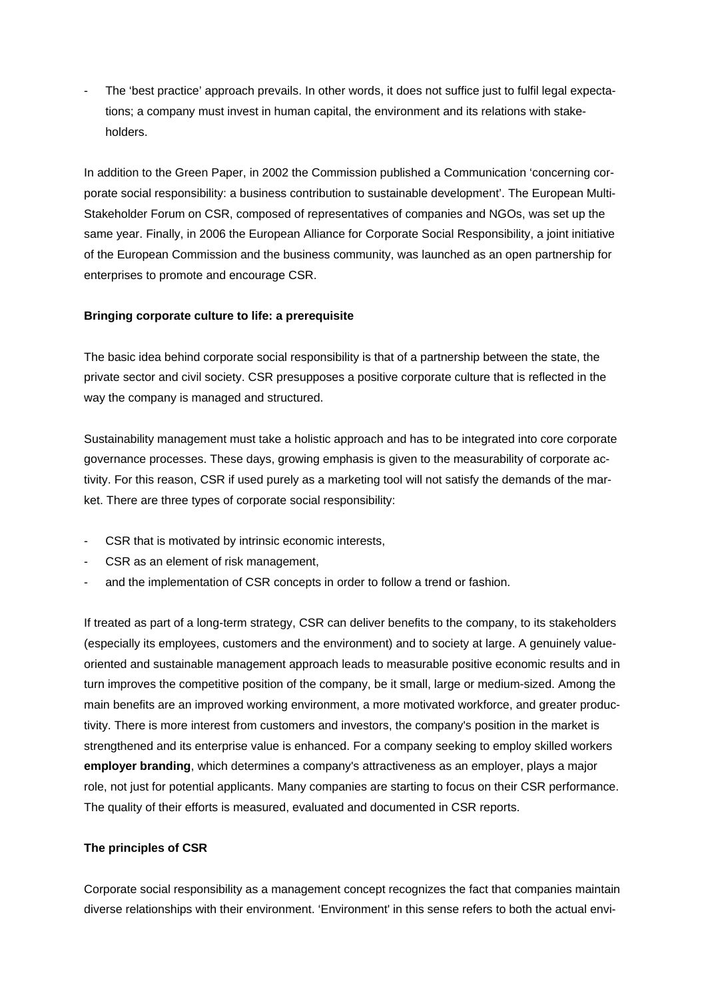The 'best practice' approach prevails. In other words, it does not suffice just to fulfil legal expectations; a company must invest in human capital, the environment and its relations with stakeholders.

In addition to the Green Paper, in 2002 the Commission published a Communication 'concerning corporate social responsibility: a business contribution to sustainable development'. The European Multi-Stakeholder Forum on CSR, composed of representatives of companies and NGOs, was set up the same year. Finally, in 2006 the European Alliance for Corporate Social Responsibility, a joint initiative of the European Commission and the business community, was launched as an open partnership for enterprises to promote and encourage CSR.

# **Bringing corporate culture to life: a prerequisite**

The basic idea behind corporate social responsibility is that of a partnership between the state, the private sector and civil society. CSR presupposes a positive corporate culture that is reflected in the way the company is managed and structured.

Sustainability management must take a holistic approach and has to be integrated into core corporate governance processes. These days, growing emphasis is given to the measurability of corporate activity. For this reason, CSR if used purely as a marketing tool will not satisfy the demands of the market. There are three types of corporate social responsibility:

- CSR that is motivated by intrinsic economic interests,
- CSR as an element of risk management,
- and the implementation of CSR concepts in order to follow a trend or fashion.

If treated as part of a long-term strategy, CSR can deliver benefits to the company, to its stakeholders (especially its employees, customers and the environment) and to society at large. A genuinely valueoriented and sustainable management approach leads to measurable positive economic results and in turn improves the competitive position of the company, be it small, large or medium-sized. Among the main benefits are an improved working environment, a more motivated workforce, and greater productivity. There is more interest from customers and investors, the company's position in the market is strengthened and its enterprise value is enhanced. For a company seeking to employ skilled workers **employer branding**, which determines a company's attractiveness as an employer, plays a major role, not just for potential applicants. Many companies are starting to focus on their CSR performance. The quality of their efforts is measured, evaluated and documented in CSR reports.

# **The principles of CSR**

Corporate social responsibility as a management concept recognizes the fact that companies maintain diverse relationships with their environment. 'Environment' in this sense refers to both the actual envi-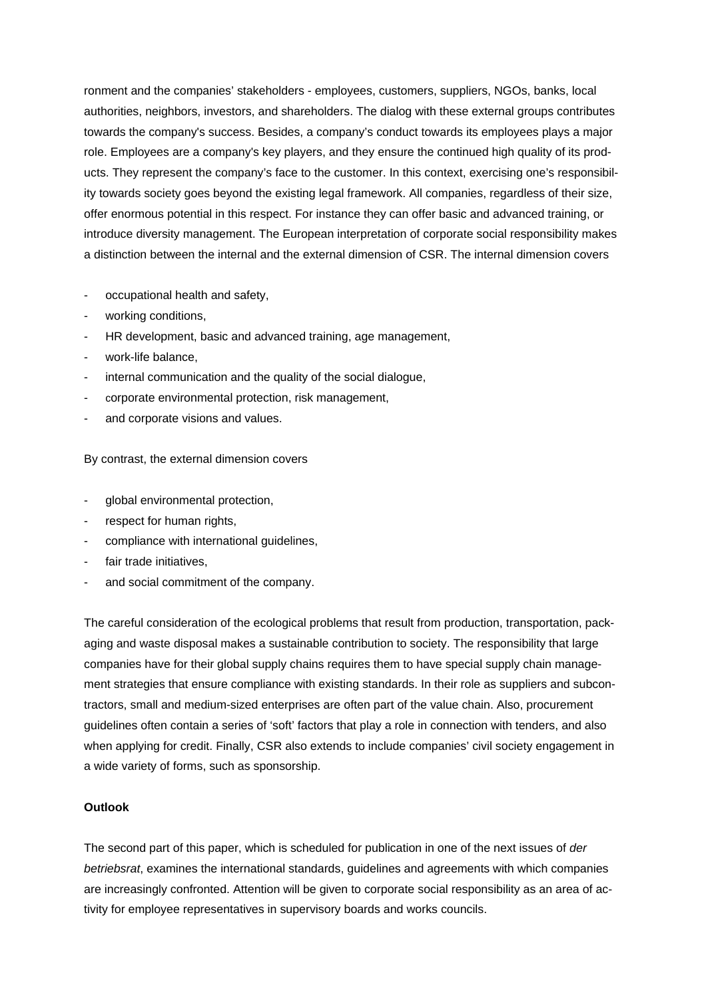ronment and the companies' stakeholders - employees, customers, suppliers, NGOs, banks, local authorities, neighbors, investors, and shareholders. The dialog with these external groups contributes towards the company's success. Besides, a company's conduct towards its employees plays a major role. Employees are a company's key players, and they ensure the continued high quality of its products. They represent the company's face to the customer. In this context, exercising one's responsibility towards society goes beyond the existing legal framework. All companies, regardless of their size, offer enormous potential in this respect. For instance they can offer basic and advanced training, or introduce diversity management. The European interpretation of corporate social responsibility makes a distinction between the internal and the external dimension of CSR. The internal dimension covers

- occupational health and safety,
- working conditions,
- HR development, basic and advanced training, age management,
- work-life balance,
- internal communication and the quality of the social dialogue,
- corporate environmental protection, risk management,
- and corporate visions and values.

By contrast, the external dimension covers

- global environmental protection,
- respect for human rights,
- compliance with international quidelines,
- fair trade initiatives,
- and social commitment of the company.

The careful consideration of the ecological problems that result from production, transportation, packaging and waste disposal makes a sustainable contribution to society. The responsibility that large companies have for their global supply chains requires them to have special supply chain management strategies that ensure compliance with existing standards. In their role as suppliers and subcontractors, small and medium-sized enterprises are often part of the value chain. Also, procurement guidelines often contain a series of 'soft' factors that play a role in connection with tenders, and also when applying for credit. Finally, CSR also extends to include companies' civil society engagement in a wide variety of forms, such as sponsorship.

#### **Outlook**

The second part of this paper, which is scheduled for publication in one of the next issues of *der betriebsrat*, examines the international standards, guidelines and agreements with which companies are increasingly confronted. Attention will be given to corporate social responsibility as an area of activity for employee representatives in supervisory boards and works councils.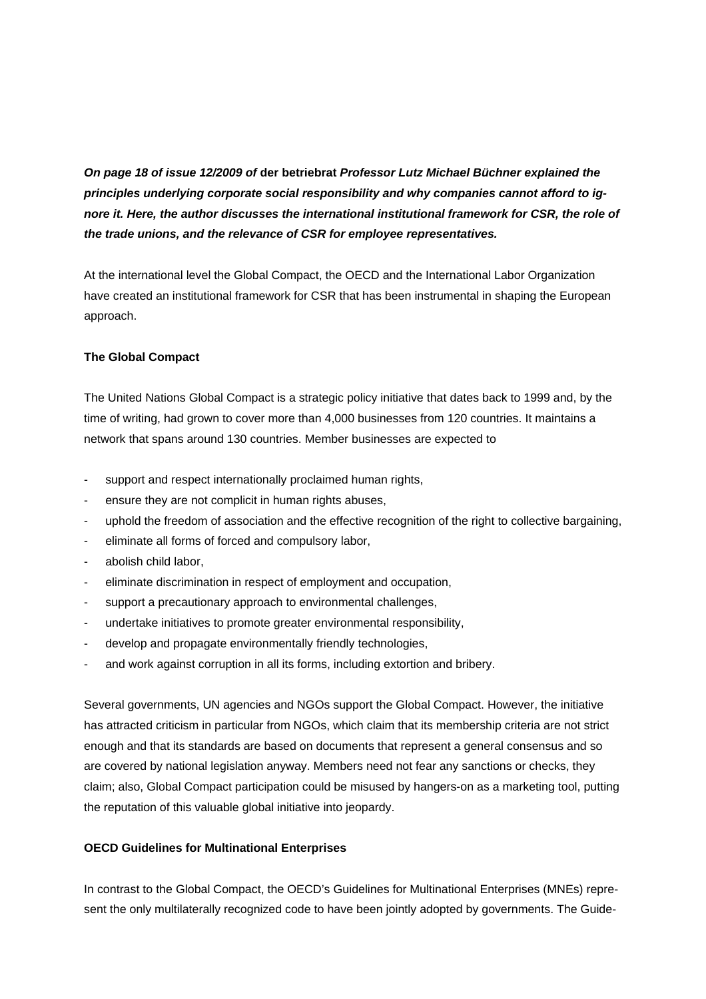*On page 18 of issue 12/2009 of* **der betriebrat** *Professor Lutz Michael Büchner explained the principles underlying corporate social responsibility and why companies cannot afford to ignore it. Here, the author discusses the international institutional framework for CSR, the role of the trade unions, and the relevance of CSR for employee representatives.* 

At the international level the Global Compact, the OECD and the International Labor Organization have created an institutional framework for CSR that has been instrumental in shaping the European approach.

## **The Global Compact**

The United Nations Global Compact is a strategic policy initiative that dates back to 1999 and, by the time of writing, had grown to cover more than 4,000 businesses from 120 countries. It maintains a network that spans around 130 countries. Member businesses are expected to

- support and respect internationally proclaimed human rights,
- ensure they are not complicit in human rights abuses,
- uphold the freedom of association and the effective recognition of the right to collective bargaining,
- eliminate all forms of forced and compulsory labor,
- abolish child labor,
- eliminate discrimination in respect of employment and occupation,
- support a precautionary approach to environmental challenges,
- undertake initiatives to promote greater environmental responsibility,
- develop and propagate environmentally friendly technologies,
- and work against corruption in all its forms, including extortion and bribery.

Several governments, UN agencies and NGOs support the Global Compact. However, the initiative has attracted criticism in particular from NGOs, which claim that its membership criteria are not strict enough and that its standards are based on documents that represent a general consensus and so are covered by national legislation anyway. Members need not fear any sanctions or checks, they claim; also, Global Compact participation could be misused by hangers-on as a marketing tool, putting the reputation of this valuable global initiative into jeopardy.

#### **OECD Guidelines for Multinational Enterprises**

In contrast to the Global Compact, the OECD's Guidelines for Multinational Enterprises (MNEs) represent the only multilaterally recognized code to have been jointly adopted by governments. The Guide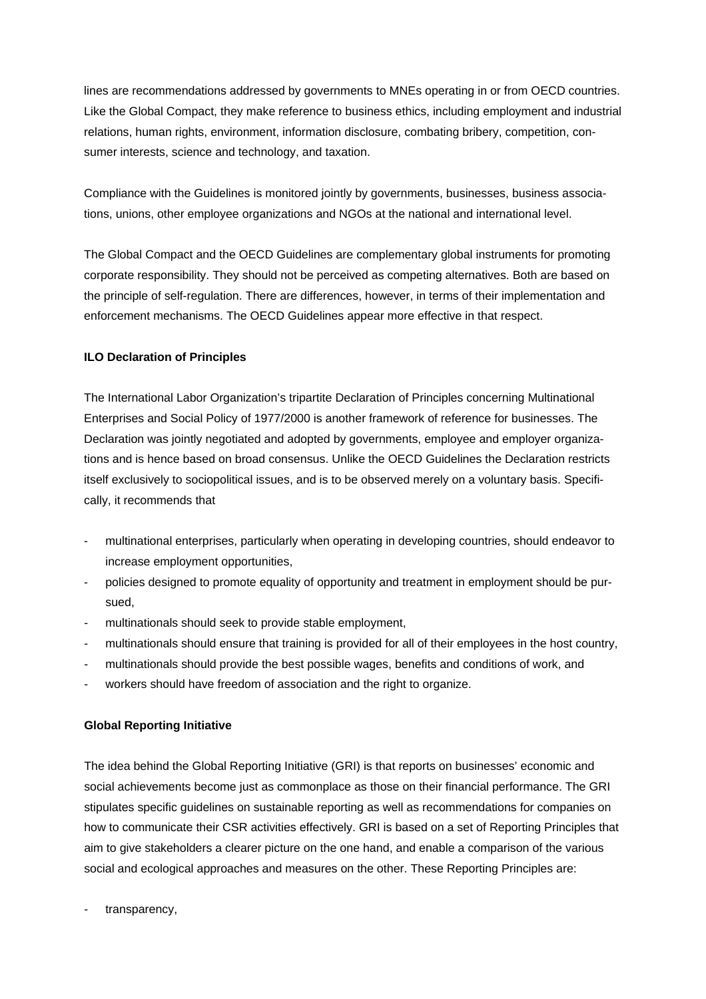lines are recommendations addressed by governments to MNEs operating in or from OECD countries. Like the Global Compact, they make reference to business ethics, including employment and industrial relations, human rights, environment, information disclosure, combating bribery, competition, consumer interests, science and technology, and taxation.

Compliance with the Guidelines is monitored jointly by governments, businesses, business associations, unions, other employee organizations and NGOs at the national and international level.

The Global Compact and the OECD Guidelines are complementary global instruments for promoting corporate responsibility. They should not be perceived as competing alternatives. Both are based on the principle of self-regulation. There are differences, however, in terms of their implementation and enforcement mechanisms. The OECD Guidelines appear more effective in that respect.

# **ILO Declaration of Principles**

The International Labor Organization's tripartite Declaration of Principles concerning Multinational Enterprises and Social Policy of 1977/2000 is another framework of reference for businesses. The Declaration was jointly negotiated and adopted by governments, employee and employer organizations and is hence based on broad consensus. Unlike the OECD Guidelines the Declaration restricts itself exclusively to sociopolitical issues, and is to be observed merely on a voluntary basis. Specifically, it recommends that

- multinational enterprises, particularly when operating in developing countries, should endeavor to increase employment opportunities,
- policies designed to promote equality of opportunity and treatment in employment should be pursued,
- multinationals should seek to provide stable employment,
- multinationals should ensure that training is provided for all of their employees in the host country,
- multinationals should provide the best possible wages, benefits and conditions of work, and
- workers should have freedom of association and the right to organize.

# **Global Reporting Initiative**

The idea behind the Global Reporting Initiative (GRI) is that reports on businesses' economic and social achievements become just as commonplace as those on their financial performance. The GRI stipulates specific guidelines on sustainable reporting as well as recommendations for companies on how to communicate their CSR activities effectively. GRI is based on a set of Reporting Principles that aim to give stakeholders a clearer picture on the one hand, and enable a comparison of the various social and ecological approaches and measures on the other. These Reporting Principles are:

transparency,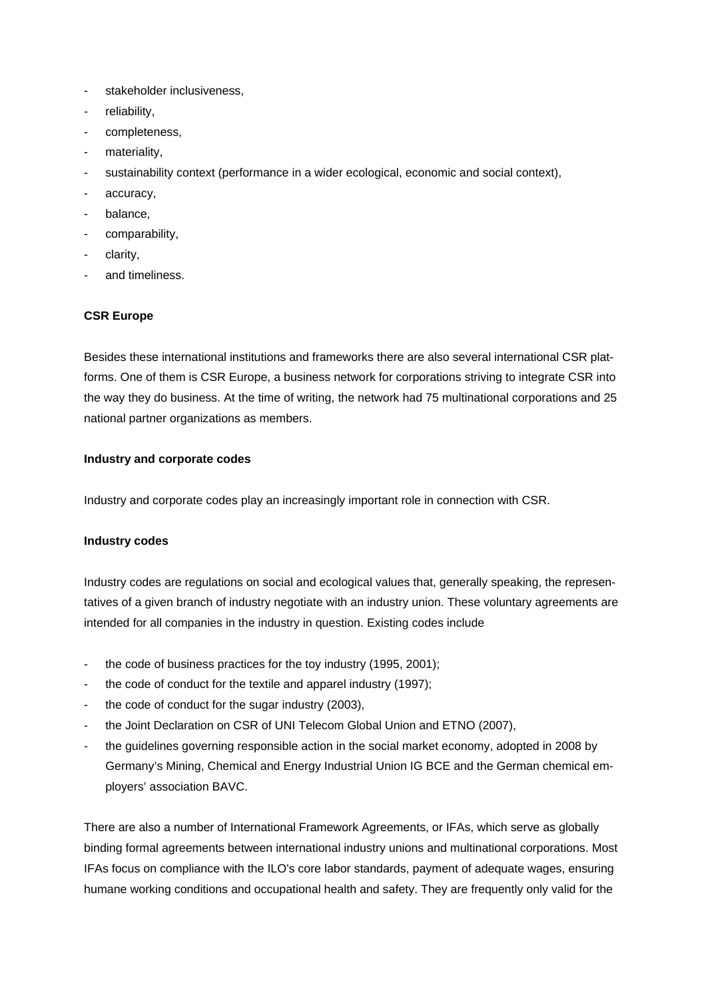- stakeholder inclusiveness,
- reliability,
- completeness,
- materiality,
- sustainability context (performance in a wider ecological, economic and social context),
- accuracy,
- balance,
- comparability,
- clarity,
- and timeliness.

# **CSR Europe**

Besides these international institutions and frameworks there are also several international CSR platforms. One of them is CSR Europe, a business network for corporations striving to integrate CSR into the way they do business. At the time of writing, the network had 75 multinational corporations and 25 national partner organizations as members.

# **Industry and corporate codes**

Industry and corporate codes play an increasingly important role in connection with CSR.

# **Industry codes**

Industry codes are regulations on social and ecological values that, generally speaking, the representatives of a given branch of industry negotiate with an industry union. These voluntary agreements are intended for all companies in the industry in question. Existing codes include

- the code of business practices for the toy industry (1995, 2001);
- the code of conduct for the textile and apparel industry (1997);
- the code of conduct for the sugar industry (2003),
- the Joint Declaration on CSR of UNI Telecom Global Union and ETNO (2007),
- the guidelines governing responsible action in the social market economy, adopted in 2008 by Germany's Mining, Chemical and Energy Industrial Union IG BCE and the German chemical employers' association BAVC.

There are also a number of International Framework Agreements, or IFAs, which serve as globally binding formal agreements between international industry unions and multinational corporations. Most IFAs focus on compliance with the ILO's core labor standards, payment of adequate wages, ensuring humane working conditions and occupational health and safety. They are frequently only valid for the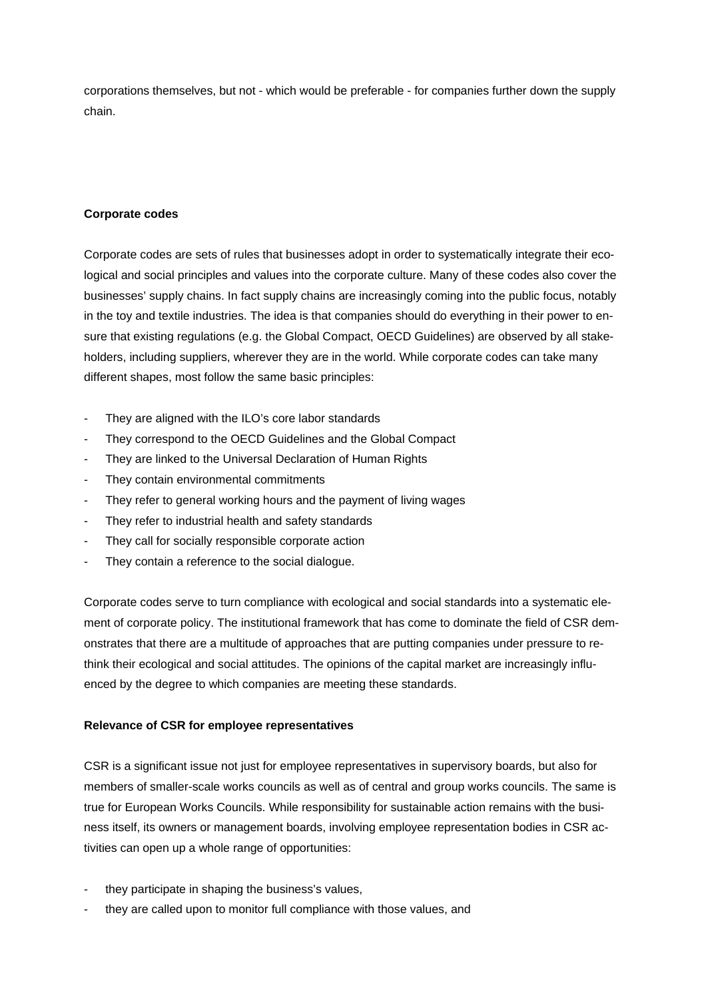corporations themselves, but not - which would be preferable - for companies further down the supply chain.

## **Corporate codes**

Corporate codes are sets of rules that businesses adopt in order to systematically integrate their ecological and social principles and values into the corporate culture. Many of these codes also cover the businesses' supply chains. In fact supply chains are increasingly coming into the public focus, notably in the toy and textile industries. The idea is that companies should do everything in their power to ensure that existing regulations (e.g. the Global Compact, OECD Guidelines) are observed by all stakeholders, including suppliers, wherever they are in the world. While corporate codes can take many different shapes, most follow the same basic principles:

- They are aligned with the ILO's core labor standards
- They correspond to the OECD Guidelines and the Global Compact
- They are linked to the Universal Declaration of Human Rights
- They contain environmental commitments
- They refer to general working hours and the payment of living wages
- They refer to industrial health and safety standards
- They call for socially responsible corporate action
- They contain a reference to the social dialogue.

Corporate codes serve to turn compliance with ecological and social standards into a systematic element of corporate policy. The institutional framework that has come to dominate the field of CSR demonstrates that there are a multitude of approaches that are putting companies under pressure to rethink their ecological and social attitudes. The opinions of the capital market are increasingly influenced by the degree to which companies are meeting these standards.

## **Relevance of CSR for employee representatives**

CSR is a significant issue not just for employee representatives in supervisory boards, but also for members of smaller-scale works councils as well as of central and group works councils. The same is true for European Works Councils. While responsibility for sustainable action remains with the business itself, its owners or management boards, involving employee representation bodies in CSR activities can open up a whole range of opportunities:

- they participate in shaping the business's values,
- they are called upon to monitor full compliance with those values, and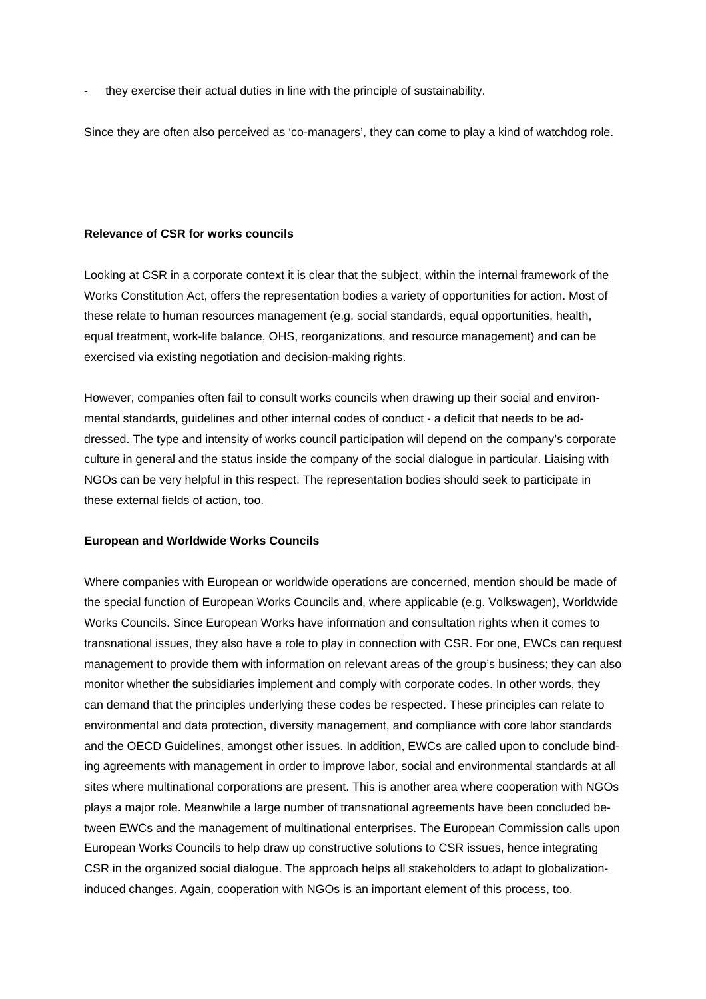they exercise their actual duties in line with the principle of sustainability.

Since they are often also perceived as 'co-managers', they can come to play a kind of watchdog role.

## **Relevance of CSR for works councils**

Looking at CSR in a corporate context it is clear that the subject, within the internal framework of the Works Constitution Act, offers the representation bodies a variety of opportunities for action. Most of these relate to human resources management (e.g. social standards, equal opportunities, health, equal treatment, work-life balance, OHS, reorganizations, and resource management) and can be exercised via existing negotiation and decision-making rights.

However, companies often fail to consult works councils when drawing up their social and environmental standards, guidelines and other internal codes of conduct - a deficit that needs to be addressed. The type and intensity of works council participation will depend on the company's corporate culture in general and the status inside the company of the social dialogue in particular. Liaising with NGOs can be very helpful in this respect. The representation bodies should seek to participate in these external fields of action, too.

#### **European and Worldwide Works Councils**

Where companies with European or worldwide operations are concerned, mention should be made of the special function of European Works Councils and, where applicable (e.g. Volkswagen), Worldwide Works Councils. Since European Works have information and consultation rights when it comes to transnational issues, they also have a role to play in connection with CSR. For one, EWCs can request management to provide them with information on relevant areas of the group's business; they can also monitor whether the subsidiaries implement and comply with corporate codes. In other words, they can demand that the principles underlying these codes be respected. These principles can relate to environmental and data protection, diversity management, and compliance with core labor standards and the OECD Guidelines, amongst other issues. In addition, EWCs are called upon to conclude binding agreements with management in order to improve labor, social and environmental standards at all sites where multinational corporations are present. This is another area where cooperation with NGOs plays a major role. Meanwhile a large number of transnational agreements have been concluded between EWCs and the management of multinational enterprises. The European Commission calls upon European Works Councils to help draw up constructive solutions to CSR issues, hence integrating CSR in the organized social dialogue. The approach helps all stakeholders to adapt to globalizationinduced changes. Again, cooperation with NGOs is an important element of this process, too.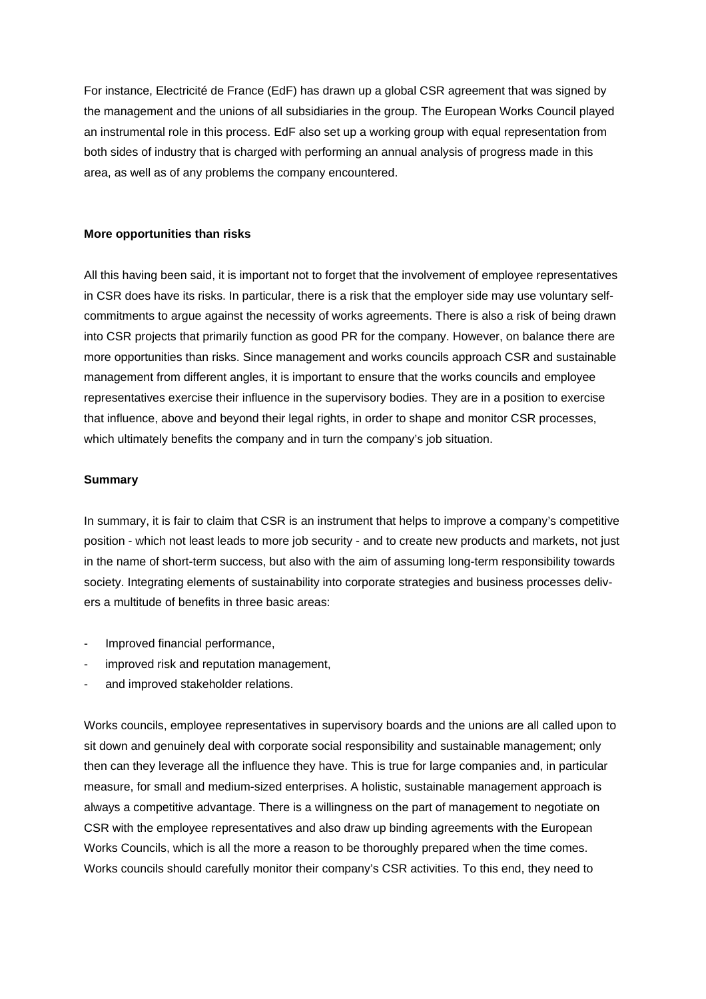For instance, Electricité de France (EdF) has drawn up a global CSR agreement that was signed by the management and the unions of all subsidiaries in the group. The European Works Council played an instrumental role in this process. EdF also set up a working group with equal representation from both sides of industry that is charged with performing an annual analysis of progress made in this area, as well as of any problems the company encountered.

#### **More opportunities than risks**

All this having been said, it is important not to forget that the involvement of employee representatives in CSR does have its risks. In particular, there is a risk that the employer side may use voluntary selfcommitments to argue against the necessity of works agreements. There is also a risk of being drawn into CSR projects that primarily function as good PR for the company. However, on balance there are more opportunities than risks. Since management and works councils approach CSR and sustainable management from different angles, it is important to ensure that the works councils and employee representatives exercise their influence in the supervisory bodies. They are in a position to exercise that influence, above and beyond their legal rights, in order to shape and monitor CSR processes, which ultimately benefits the company and in turn the company's job situation.

## **Summary**

In summary, it is fair to claim that CSR is an instrument that helps to improve a company's competitive position - which not least leads to more job security - and to create new products and markets, not just in the name of short-term success, but also with the aim of assuming long-term responsibility towards society. Integrating elements of sustainability into corporate strategies and business processes delivers a multitude of benefits in three basic areas:

- Improved financial performance,
- improved risk and reputation management,
- and improved stakeholder relations.

Works councils, employee representatives in supervisory boards and the unions are all called upon to sit down and genuinely deal with corporate social responsibility and sustainable management; only then can they leverage all the influence they have. This is true for large companies and, in particular measure, for small and medium-sized enterprises. A holistic, sustainable management approach is always a competitive advantage. There is a willingness on the part of management to negotiate on CSR with the employee representatives and also draw up binding agreements with the European Works Councils, which is all the more a reason to be thoroughly prepared when the time comes. Works councils should carefully monitor their company's CSR activities. To this end, they need to